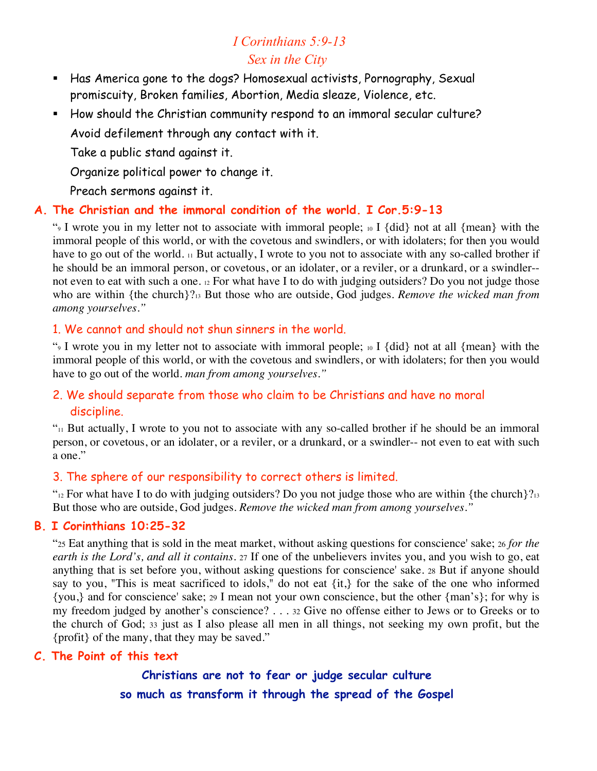## *I Corinthians 5:9-13 Sex in the City*

- Has America gone to the dogs? Homosexual activists, Pornography, Sexual promiscuity, Broken families, Abortion, Media sleaze, Violence, etc.
- How should the Christian community respond to an immoral secular culture? Avoid defilement through any contact with it.

Take a public stand against it.

Organize political power to change it.

Preach sermons against it.

#### **A. The Christian and the immoral condition of the world. I Cor.5:9-13**

"9 I wrote you in my letter not to associate with immoral people; 10 I {did} not at all {mean} with the immoral people of this world, or with the covetous and swindlers, or with idolaters; for then you would have to go out of the world. 11 But actually, I wrote to you not to associate with any so-called brother if he should be an immoral person, or covetous, or an idolater, or a reviler, or a drunkard, or a swindler- not even to eat with such a one. 12 For what have I to do with judging outsiders? Do you not judge those who are within {the church}?13 But those who are outside, God judges. *Remove the wicked man from among yourselves."*

#### 1. We cannot and should not shun sinners in the world.

"9 I wrote you in my letter not to associate with immoral people; 10 I {did} not at all {mean} with the immoral people of this world, or with the covetous and swindlers, or with idolaters; for then you would have to go out of the world. *man from among yourselves."*

## 2. We should separate from those who claim to be Christians and have no moral discipline.

 $v_{11}$  But actually, I wrote to you not to associate with any so-called brother if he should be an immoral person, or covetous, or an idolater, or a reviler, or a drunkard, or a swindler-- not even to eat with such a one."

#### 3. The sphere of our responsibility to correct others is limited.

" $_{12}$  For what have I to do with judging outsiders? Do you not judge those who are within {the church}? $_{13}$ But those who are outside, God judges. *Remove the wicked man from among yourselves."*

## **B. I Corinthians 10:25-32**

"25 Eat anything that is sold in the meat market, without asking questions for conscience' sake; 26 *for the earth is the Lord's, and all it contains.* 27 If one of the unbelievers invites you, and you wish to go, eat anything that is set before you, without asking questions for conscience' sake. 28 But if anyone should say to you, "This is meat sacrificed to idols," do not eat {it,} for the sake of the one who informed {you,} and for conscience' sake; 29 I mean not your own conscience, but the other {man's}; for why is my freedom judged by another's conscience? . . . 32 Give no offense either to Jews or to Greeks or to the church of God; 33 just as I also please all men in all things, not seeking my own profit, but the {profit} of the many, that they may be saved."

#### **C. The Point of this text**

# **Christians are not to fear or judge secular culture so much as transform it through the spread of the Gospel**